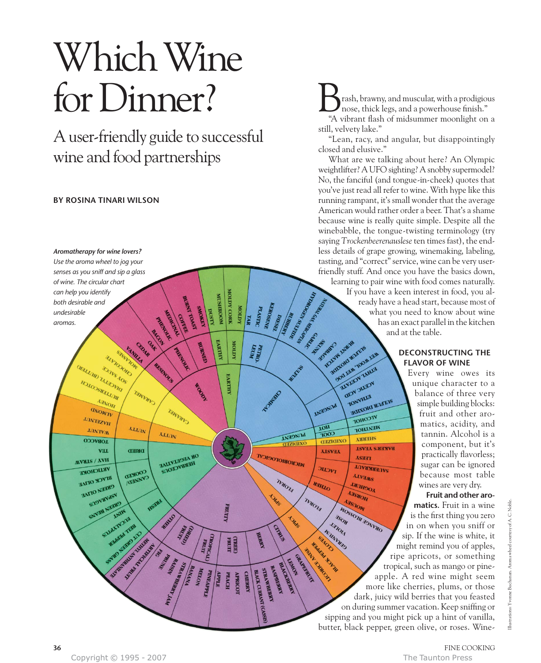# Which Wine for Dinner?

A user-friendly guide to successful wine and food partnerships

# **BY ROSINA TINARI WILSON**



rash, brawny, and muscular, with a prodigious nose, thick legs, and a powerhouse finish." **198** rash, brawny, and muscular, with a prodigious nose, thick legs, and a powerhouse finish."<br>"A vibrant flash of midsummer moonlight on a still, velvety lake."

"Lean, racy, and angular, but disappointingly closed and elusive."

What are we talking about here? An Olympic weightlifter? A UFO sighting? A snobby supermodel? No, the fanciful (and tongue-in-cheek) quotes that you've just read all refer to wine. With hype like this running rampant, it's small wonder that the average American would rather order a beer. That's a shame because wine is really quite simple. Despite all the winebabble, the tongue-twisting terminology (try saying *Trockenbeerenauslese*ten times fast), the endless details of grape growing, winemaking, labeling, tasting, and "correct" service, wine can be very userfriendly stuff. And once you have the basics down, learning to pair wine with food comes naturally. If you have a keen interest in food, you already have a head start, because most of what you need to know about wine has an exact parallel in the kitchen and at the table.

# **DECONSTRUCTING THE FLAVOR OF WINE**

Every wine owes its unique character to a balance of three very simple building blocks: fruit and other aromatics, acidity, and tannin. Alcohol is a component, but it's practically flavorless; sugar can be ignored because most table wines are very dry.

**Fruit and other aromatics.** Fruit in a wine is the first thing you zero in on when you sniff or sip. If the wine is white, it might remind you of apples, ripe apricots, or something tropical, such as mango or pineapple. A red wine might seem more like cherries, plums, or those dark, juicy wild berries that you feasted on during summer vacation. Keep sniffing or sipping and you might pick up a hint of vanilla, butter, black pepper, green olive, or roses. Wine-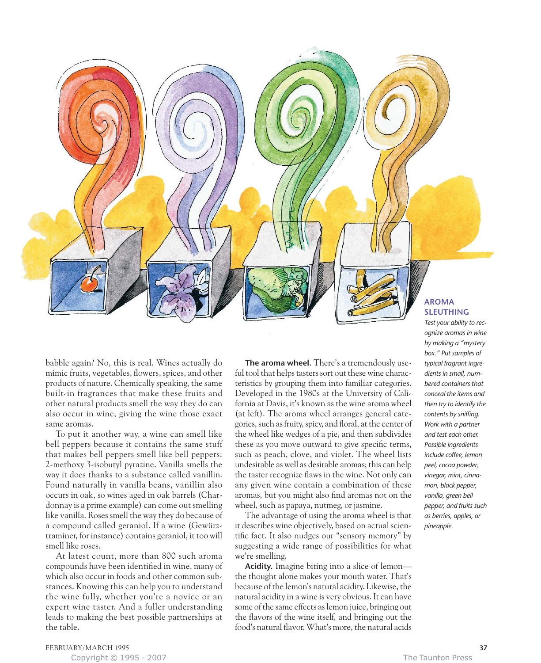

To put it another way, a wine can smell like bell peppers because it contains the same stuff that makes bell peppers smell like bell peppers: 2-methoxy 3-isobutyl pyrazine. Vanilla smells the way it does thanks to a substance called vanillin. Found naturally in vanilla beans, vanillin also occurs in oak, so wines aged in oak barrels (Chardonnay is a prime example) can come out smelling like vanilla. Roses smell the way they do because of a compound called geraniol. If a wine (Gewürztraminer, for instance) contains geraniol, it too will smell like roses.

At latest count, more than 800 such aroma compounds have been identified in wine, many of which also occur in foods and other common substances. Knowing this can help you to understand the wine fully, whether you're a novice or an expert wine taster. And a fuller understanding leads to making the best possible partnerships at the table.

**The aroma wheel.** There's a tremendously useful tool that helps tasters sort out these wine characteristics by grouping them into familiar categories. Developed in the 1980s at the University of California at Davis, it's known as the wine aroma wheel (at left). The aroma wheel arranges general categories, such as fruity, spicy, and floral, at the center of the wheel like wedges of a pie, and then subdivides these as you move outward to give specific terms, such as peach, clove, and violet. The wheel lists undesirable as well as desirable aromas; this can help the taster recognize flaws in the wine. Not only can any given wine contain a combination of these aromas, but you might also find aromas not on the wheel, such as papaya, nutmeg, or jasmine.

The advantage of using the aroma wheel is that it describes wine objectively, based on actual scientific fact. It also nudges our "sensory memory" by suggesting a wide range of possibilities for what we're smelling.

**Acidity.** Imagine biting into a slice of lemon the thought alone makes your mouth water. That's because of the lemon's natural acidity. Likewise, the natural acidity in a wine is very obvious. It can have some of the same effects as lemon juice, bringing out the flavors of the wine itself, and bringing out the food's natural flavor. What's more, the natural acids

# **AROMA SLEUTHING**

*Test your ability to recognize aromas in wine by making a "mystery box." Put samples of typical fragrant ingredients in small, numbered containers that conceal the items and then try to identify the contents by sniffing. Work with a partner and test each other. Possible ingredients include coffee, lemon peel, cocoa powder, vinegar, mint, cinnamon, black pepper, vanilla, green bell pepper, and fruits such as berries, apples, or pineapple.*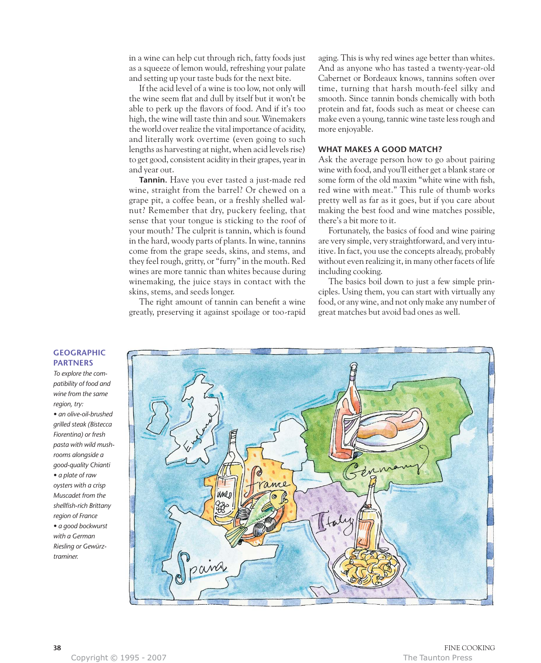in a wine can help cut through rich, fatty foods just as a squeeze of lemon would, refreshing your palate and setting up your taste buds for the next bite.

If the acid level of a wine is too low, not only will the wine seem flat and dull by itself but it won't be able to perk up the flavors of food. And if it's too high, the wine will taste thin and sour. Winemakers the world over realize the vital importance of acidity, and literally work overtime (even going to such lengths as harvesting at night, when acid levels rise) to get good, consistent acidity in their grapes, year in and year out.

**Tannin.** Have you ever tasted a just-made red wine, straight from the barrel? Or chewed on a grape pit, a coffee bean, or a freshly shelled walnut? Remember that dry, puckery feeling, that sense that your tongue is sticking to the roof of your mouth? The culprit is tannin, which is found in the hard, woody parts of plants. In wine, tannins come from the grape seeds, skins, and stems, and they feel rough, gritty, or "furry" in the mouth. Red wines are more tannic than whites because during winemaking, the juice stays in contact with the skins, stems, and seeds longer.

The right amount of tannin can benefit a wine greatly, preserving it against spoilage or too-rapid aging. This is why red wines age better than whites. And as anyone who has tasted a twenty-year-old Cabernet or Bordeaux knows, tannins soften over time, turning that harsh mouth-feel silky and smooth. Since tannin bonds chemically with both protein and fat, foods such as meat or cheese can make even a young, tannic wine taste less rough and more enjoyable.

# **WHAT MAKES A GOOD MATCH?**

Ask the average person how to go about pairing wine with food, and you'll either get a blank stare or some form of the old maxim "white wine with fish, red wine with meat." This rule of thumb works pretty well as far as it goes, but if you care about making the best food and wine matches possible, there's a bit more to it.

Fortunately, the basics of food and wine pairing are very simple, very straightforward, and very intuitive. In fact, you use the concepts already, probably without even realizing it, in many other facets of life including cooking.

The basics boil down to just a few simple principles. Using them, you can start with virtually any food, or any wine, and not only make any number of great matches but avoid bad ones as well.



# **GEOGRAPHIC PARTNERS**

*To explore the compatibility of food and wine from the same region, try: • an olive-oil-brushed grilled steak (Bistecca Fiorentina) or fresh pasta with wild mushrooms alongside a good-quality Chianti • a plate of raw oysters with a crisp Muscadet from the shellfish-rich Brittany region of France • a good bockwurst with a German Riesling or Gewürztraminer.*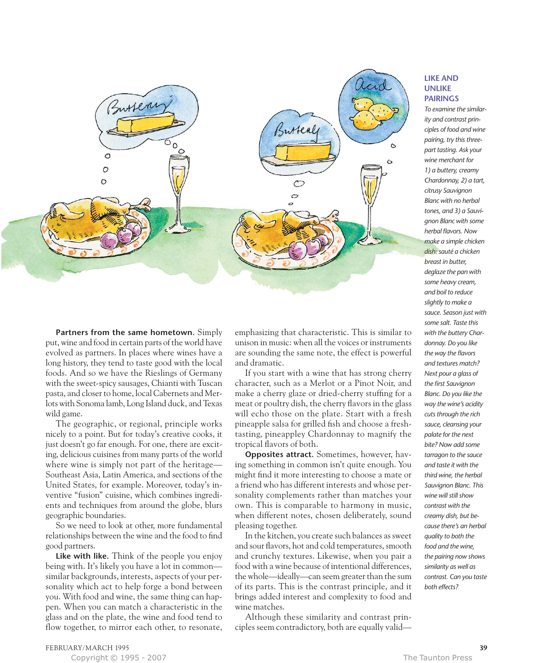

# **Partners from the same hometown.** Simply put, wine and food in certain parts of the world have evolved as partners. In places where wines have a long history, they tend to taste good with the local foods. And so we have the Rieslings of Germany with the sweet-spicy sausages, Chianti with Tuscan pasta, and closer to home, local Cabernets and Merlots with Sonoma lamb, Long Island duck, and Texas wild game.

The geographic, or regional, principle works nicely to a point. But for today's creative cooks, it just doesn't go far enough. For one, there are exciting, delicious cuisines from many parts of the world where wine is simply not part of the heritage— Southeast Asia, Latin America, and sections of the United States, for example. Moreover, today's inventive "fusion" cuisine, which combines ingredients and techniques from around the globe, blurs geographic boundaries.

So we need to look at other, more fundamental relationships between the wine and the food to find good partners.

**Like with like.** Think of the people you enjoy being with. It's likely you have a lot in common similar backgrounds, interests, aspects of your personality which act to help forge a bond between you. With food and wine, the same thing can happen. When you can match a characteristic in the glass and on the plate, the wine and food tend to flow together, to mirror each other, to resonate, emphasizing that characteristic. This is similar to unison in music: when all the voices or instruments are sounding the same note, the effect is powerful and dramatic.

If you start with a wine that has strong cherry character, such as a Merlot or a Pinot Noir, and make a cherry glaze or dried-cherry stuffing for a meat or poultry dish, the cherry flavors in the glass will echo those on the plate. Start with a fresh pineapple salsa for grilled fish and choose a freshtasting, pineappley Chardonnay to magnify the tropical flavors of both.

**Opposites attract.** Sometimes, however, having something in common isn't quite enough. You might find it more interesting to choose a mate or a friend who has different interests and whose personality complements rather than matches your own. This is comparable to harmony in music, when different notes, chosen deliberately, sound pleasing together.

In the kitchen, you create such balances as sweet and sour flavors, hot and cold temperatures, smooth and crunchy textures. Likewise, when you pair a food with a wine because of intentional differences, the whole—ideally—can seem greater than the sum of its parts. This is the contrast principle, and it brings added interest and complexity to food and wine matches.

Although these similarity and contrast principles seem contradictory, both are equally valid—

## **LIKE AND UNLIKE PAIRINGS**

*To examine the similarity and contrast principles of food and wine pairing, try this threepart tasting. Ask your wine merchant for 1) a buttery, creamy Chardonnay, 2) a tart, citrusy Sauvignon Blanc with no herbal tones, and 3) a Sauvignon Blanc with some herbal flavors. Now make a simple chicken dish: sauté a chicken breast in butter, deglaze the pan with some heavy cream, and boil to reduce slightly to make a sauce. Season just with some salt. Taste this with the buttery Chardonnay. Do you like the way the flavors and textures match? Next pour a glass of the first Sauvignon Blanc. Do you like the way the wine's acidity cuts through the rich sauce, cleansing your palate for the next bite? Now add some tarragon to the sauce and taste it with the third wine, the herbal Sauvignon Blanc. This wine will still show contrast with the creamy dish, but because there's an herbal quality to both the food and the wine, the pairing now shows similarity as well as contrast. Can you taste both effects?*